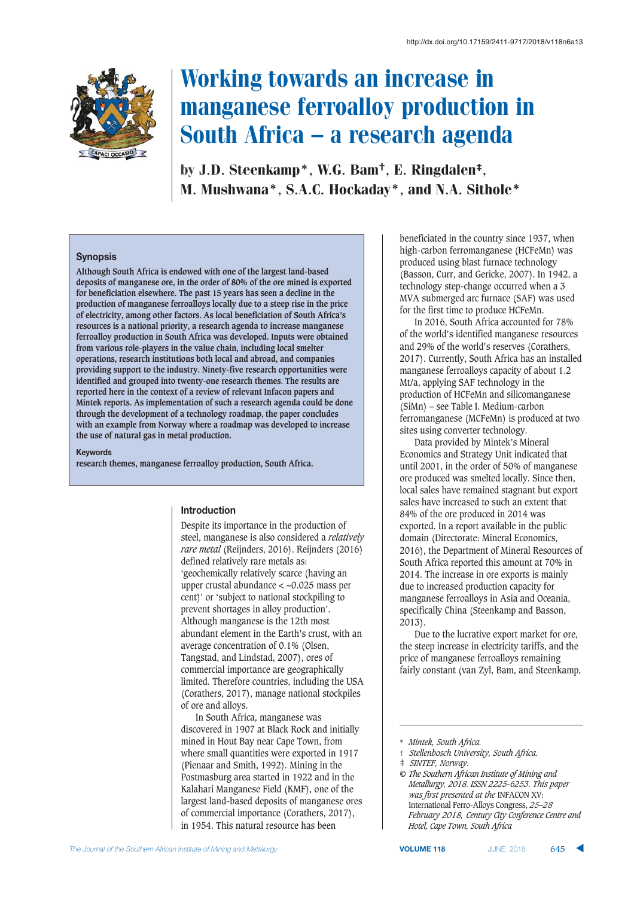

# Working towards an increase in manganese ferroalloy production in South Africa — a research agenda

by J.D. Steenkamp\*, W.G. Bam†, E. Ringdalen‡, M. Mushwana\*, S.A.C. Hockaday\*, and N.A. Sithole\*

#### $S$ *y* **nopsis**

**Although South Africa is endowed with one of the largest land-based deposits of manganese ore, in the order of 80% of the ore mined is exported for beneficiation elsewhere. The past 15 years has seen a decline in the production of manganese ferroalloys locally due to a steep rise in the price of electricity, among other factors. As local beneficiation of South Africa's resources is a national priority, a research agenda to increase manganese ferroalloy production in South Africa was developed. Inputs were obtained from various role-players in the value chain, including local smelter operations, research institutions both local and abroad, and companies providing support to the industry. Ninety-five research opportunities were identified and grouped into twenty-one research themes. The results are reported here in the context of a review of relevant Infacon papers and Mintek reports. As implementation of such a research agenda could be done through the development of a technology roadmap, the paper concludes with an example from Norway where a roadmap was developed to increase the use of natural gas in metal production.**

**Keywords** 

**research themes, manganese ferroalloy production, South Africa.**

#### $\blacksquare$  **Introduction**

Despite its importance in the production of steel, manganese is also considered a *relatively rare metal* (Reijnders, 2016). Reijnders (2016) defined relatively rare metals as: 'geochemically relatively scarce (having an upper crustal abundance < ~0.025 mass per cent)' or 'subject to national stockpiling to prevent shortages in alloy production'. Although manganese is the 12th most abundant element in the Earth's crust, with an average concentration of 0.1% (Olsen, Tangstad, and Lindstad, 2007), ores of commercial importance are geographically limited. Therefore countries, including the USA (Corathers, 2017), manage national stockpiles of ore and alloys.

In South Africa, manganese was discovered in 1907 at Black Rock and initially mined in Hout Bay near Cape Town, from where small quantities were exported in 1917 (Pienaar and Smith, 1992). Mining in the Postmasburg area started in 1922 and in the Kalahari Manganese Field (KMF), one of the largest land-based deposits of manganese ores of commercial importance (Corathers, 2017), in 1954. This natural resource has been

beneficiated in the country since 1937, when high-carbon ferromanganese (HCFeMn) was produced using blast furnace technology (Basson, Curr, and Gericke, 2007). In 1942, a technology step-change occurred when a 3 MVA submerged arc furnace (SAF) was used for the first time to produce HCFeMn.

In 2016, South Africa accounted for 78% of the world's identified manganese resources and 29% of the world's reserves (Corathers, 2017). Currently, South Africa has an installed manganese ferroalloys capacity of about 1.2 Mt/a, applying SAF technology in the production of HCFeMn and silicomanganese (SiMn) – see Table I. Medium-carbon ferromanganese (MCFeMn) is produced at two sites using converter technology.

Data provided by Mintek's Mineral Economics and Strategy Unit indicated that until 2001, in the order of 50% of manganese ore produced was smelted locally. Since then, local sales have remained stagnant but export sales have increased to such an extent that 84% of the ore produced in 2014 was exported. In a report available in the public domain (Directorate: Mineral Economics, 2016), the Department of Mineral Resources of South Africa reported this amount at 70% in 2014. The increase in ore exports is mainly due to increased production capacity for manganese ferroalloys in Asia and Oceania, specifically China (Steenkamp and Basson, 2013).

Due to the lucrative export market for ore, the steep increase in electricity tariffs, and the price of manganese ferroalloys remaining fairly constant (van Zyl, Bam, and Steenkamp,

<sup>\*</sup> *Mintek, South Africa.*

<sup>†</sup> *Stellenbosch University, South Africa.*

<sup>‡</sup> *SINTEF, Norway.*

*<sup>©</sup> The Southern African Institute of Mining and Metallurgy, 2018. ISSN 2225-6253. This paper was first presented at the* INFACON XV: International Ferro-Alloys Congress, *25–28 February 2018, Century City Conference Centre and Hotel, Cape Town, South Africa*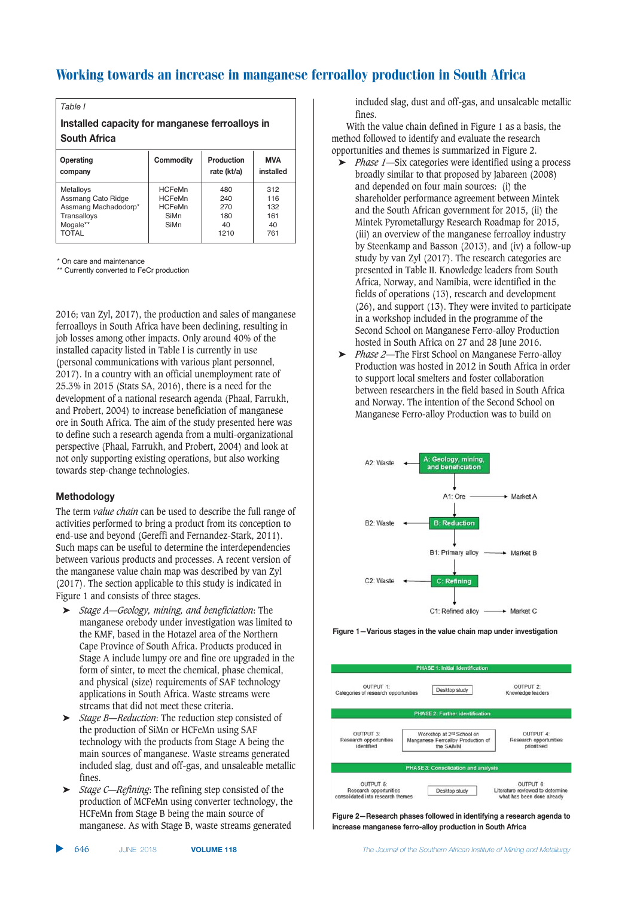| $0$ monotino                                    | $C$ ammadity | $D$ <sub>readviation</sub> |  |  |  |  |
|-------------------------------------------------|--------------|----------------------------|--|--|--|--|
| <b>South Africa</b>                             |              |                            |  |  |  |  |
| Installed capacity for manganese ferroalloys in |              |                            |  |  |  |  |
| Table I                                         |              |                            |  |  |  |  |

| Operating                                                                                                 | Commodity                                                       | Production                             | MVA                                   |
|-----------------------------------------------------------------------------------------------------------|-----------------------------------------------------------------|----------------------------------------|---------------------------------------|
| company                                                                                                   |                                                                 | rate (kt/a)                            | installed                             |
| <b>Metalloys</b><br>Assmang Cato Ridge<br>Assmang Machadodorp*<br>Transalloys<br>Mogale**<br><b>TOTAL</b> | <b>HCFeMn</b><br><b>HCFeMn</b><br><b>HCFeMn</b><br>SiMn<br>SiMn | 480<br>240<br>270<br>180<br>40<br>1210 | 312<br>116<br>132<br>161<br>40<br>761 |

\* On care and maintenance

\*\* Currently converted to FeCr production

2016; van Zyl, 2017), the production and sales of manganese ferroalloys in South Africa have been declining, resulting in job losses among other impacts. Only around 40% of the installed capacity listed in Table I is currently in use (personal communications with various plant personnel, 2017). In a country with an official unemployment rate of 25.3% in 2015 (Stats SA, 2016), there is a need for the development of a national research agenda (Phaal, Farrukh, and Probert, 2004) to increase beneficiation of manganese ore in South Africa. The aim of the study presented here was to define such a research agenda from a multi-organizational perspective (Phaal, Farrukh, and Probert, 2004) and look at not only supporting existing operations, but also working towards step-change technologies.

#### $Methodology$

The term *value chain* can be used to describe the full range of activities performed to bring a product from its conception to end-use and beyond (Gereffi and Fernandez-Stark, 2011). Such maps can be useful to determine the interdependencies between various products and processes. A recent version of the manganese value chain map was described by van Zyl (2017). The section applicable to this study is indicated in Figure 1 and consists of three stages.

- ➤ *Stage A*—*Geology, mining, and beneficiation*: The manganese orebody under investigation was limited to the KMF, based in the Hotazel area of the Northern Cape Province of South Africa. Products produced in Stage A include lumpy ore and fine ore upgraded in the form of sinter, to meet the chemical, phase chemical, and physical (size) requirements of SAF technology applications in South Africa. Waste streams were streams that did not meet these criteria.
- ➤ *Stage B*—*Reduction*: The reduction step consisted of the production of SiMn or HCFeMn using SAF technology with the products from Stage A being the main sources of manganese. Waste streams generated included slag, dust and off-gas, and unsaleable metallic fines.
- ➤ *Stage C*—*Refining*: The refining step consisted of the production of MCFeMn using converter technology, the HCFeMn from Stage B being the main source of manganese. As with Stage B, waste streams generated

included slag, dust and off-gas, and unsaleable metallic fines.

With the value chain defined in Figure 1 as a basis, the method followed to identify and evaluate the research opportunities and themes is summarized in Figure 2.

- ➤ *Phase 1*—Six categories were identified using a process broadly similar to that proposed by Jabareen (2008) and depended on four main sources: (i) the shareholder performance agreement between Mintek and the South African government for 2015, (ii) the Mintek Pyrometallurgy Research Roadmap for 2015, (iii) an overview of the manganese ferroalloy industry by Steenkamp and Basson (2013), and (iv) a follow-up study by van Zyl (2017). The research categories are presented in Table II. Knowledge leaders from South Africa, Norway, and Namibia, were identified in the fields of operations (13), research and development (26), and support (13). They were invited to participate in a workshop included in the programme of the Second School on Manganese Ferro-alloy Production hosted in South Africa on 27 and 28 June 2016.
- ➤ *Phase 2*—The First School on Manganese Ferro-alloy Production was hosted in 2012 in South Africa in order to support local smelters and foster collaboration between researchers in the field based in South Africa and Norway. The intention of the Second School on Manganese Ferro-alloy Production was to build on



**Figure 1–Various stages in the value chain map under investigation** 



**Figure 2-Research phases followed in identifying a research agenda to**  $i$  **A**  $i$  **C**  $i$  **C**  $i$  **C**  $i$  **C**  $i$  **C**  $i$  **C**  $i$  **C**  $i$  **C**  $i$  **C**  $i$  **C**  $i$  **C**  $i$  **C**  $i$  **C**  $i$  **C**  $i$  **C**  $i$  **C**  $i$  **C**  $i$  **C**  $i$  **C**  $i$  **C**  $i$  **C**  $i$  **C**  $i$  **C**  $i$  **C**  $i$  **C**  $i$  **C**  $i$  **C**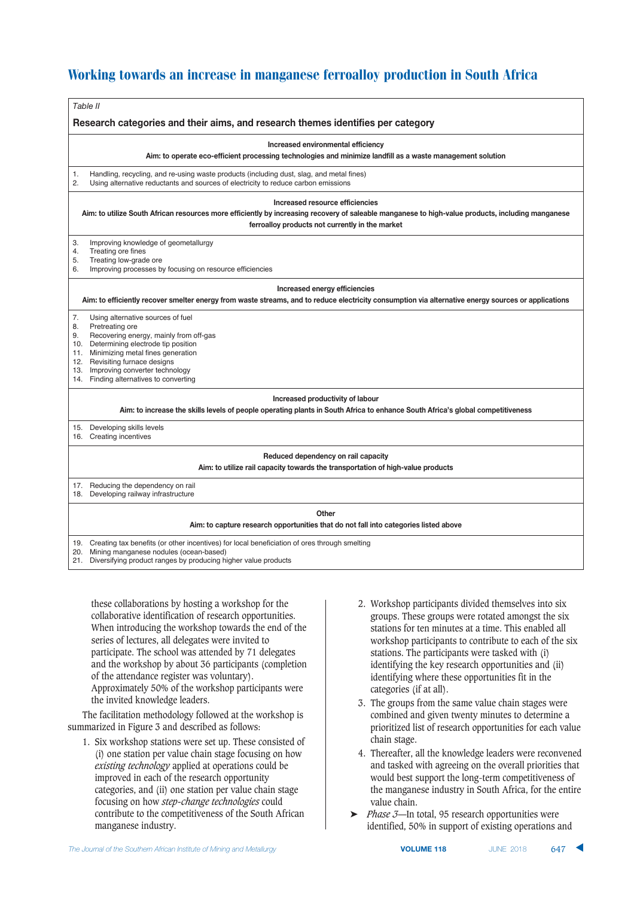| Table II                                                                                                                                                                                             |  |  |  |  |
|------------------------------------------------------------------------------------------------------------------------------------------------------------------------------------------------------|--|--|--|--|
| Research categories and their aims, and research themes identifies per category                                                                                                                      |  |  |  |  |
| Increased environmental efficiency                                                                                                                                                                   |  |  |  |  |
| Aim: to operate eco-efficient processing technologies and minimize landfill as a waste management solution                                                                                           |  |  |  |  |
| Handling, recycling, and re-using waste products (including dust, slag, and metal fines)<br>1.<br>2.<br>Using alternative reductants and sources of electricity to reduce carbon emissions           |  |  |  |  |
| Increased resource efficiencies                                                                                                                                                                      |  |  |  |  |
| Aim: to utilize South African resources more efficiently by increasing recovery of saleable manganese to high-value products, including manganese<br>ferroalloy products not currently in the market |  |  |  |  |
| 3.<br>Improving knowledge of geometallurgy                                                                                                                                                           |  |  |  |  |
| Treating ore fines<br>4.<br>Treating low-grade ore<br>5.                                                                                                                                             |  |  |  |  |
| Improving processes by focusing on resource efficiencies<br>6.                                                                                                                                       |  |  |  |  |
| Increased energy efficiencies                                                                                                                                                                        |  |  |  |  |
| Aim: to efficiently recover smelter energy from waste streams, and to reduce electricity consumption via alternative energy sources or applications                                                  |  |  |  |  |
| 7.<br>Using alternative sources of fuel                                                                                                                                                              |  |  |  |  |
| Pretreating ore<br>8.                                                                                                                                                                                |  |  |  |  |
| 9.<br>Recovering energy, mainly from off-gas                                                                                                                                                         |  |  |  |  |
| 10. Determining electrode tip position<br>11. Minimizing metal fines generation                                                                                                                      |  |  |  |  |
| 12. Revisiting furnace designs                                                                                                                                                                       |  |  |  |  |
| 13. Improving converter technology                                                                                                                                                                   |  |  |  |  |
| 14. Finding alternatives to converting                                                                                                                                                               |  |  |  |  |
| Increased productivity of labour                                                                                                                                                                     |  |  |  |  |
| Aim: to increase the skills levels of people operating plants in South Africa to enhance South Africa's global competitiveness                                                                       |  |  |  |  |
| 15. Developing skills levels                                                                                                                                                                         |  |  |  |  |
| 16. Creating incentives                                                                                                                                                                              |  |  |  |  |
| Reduced dependency on rail capacity                                                                                                                                                                  |  |  |  |  |
| Aim: to utilize rail capacity towards the transportation of high-value products                                                                                                                      |  |  |  |  |
| 17. Reducing the dependency on rail                                                                                                                                                                  |  |  |  |  |
| 18. Developing railway infrastructure                                                                                                                                                                |  |  |  |  |
| Other                                                                                                                                                                                                |  |  |  |  |
| Aim: to capture research opportunities that do not fall into categories listed above                                                                                                                 |  |  |  |  |
| 19. Creating tax benefits (or other incentives) for local beneficiation of ores through smelting                                                                                                     |  |  |  |  |
| 20. Mining manganese nodules (ocean-based)<br>21. Diversifying product ranges by producing higher value products                                                                                     |  |  |  |  |
|                                                                                                                                                                                                      |  |  |  |  |

these collaborations by hosting a workshop for the collaborative identification of research opportunities. When introducing the workshop towards the end of the series of lectures, all delegates were invited to participate. The school was attended by 71 delegates and the workshop by about 36 participants (completion of the attendance register was voluntary). Approximately 50% of the workshop participants were the invited knowledge leaders.

The facilitation methodology followed at the workshop is summarized in Figure 3 and described as follows:

- 1. Six workshop stations were set up. These consisted of (i) one station per value chain stage focusing on how *existing technology* applied at operations could be improved in each of the research opportunity categories, and (ii) one station per value chain stage focusing on how *step-change technologies* could contribute to the competitiveness of the South African manganese industry.
- 2. Workshop participants divided themselves into six groups. These groups were rotated amongst the six stations for ten minutes at a time. This enabled all workshop participants to contribute to each of the six stations. The participants were tasked with (i) identifying the key research opportunities and (ii) identifying where these opportunities fit in the categories (if at all).
- 3. The groups from the same value chain stages were combined and given twenty minutes to determine a prioritized list of research opportunities for each value chain stage.
- 4. Thereafter, all the knowledge leaders were reconvened and tasked with agreeing on the overall priorities that would best support the long-term competitiveness of the manganese industry in South Africa, for the entire value chain.
- ➤ *Phase 3*—In total, 95 research opportunities were identified, 50% in support of existing operations and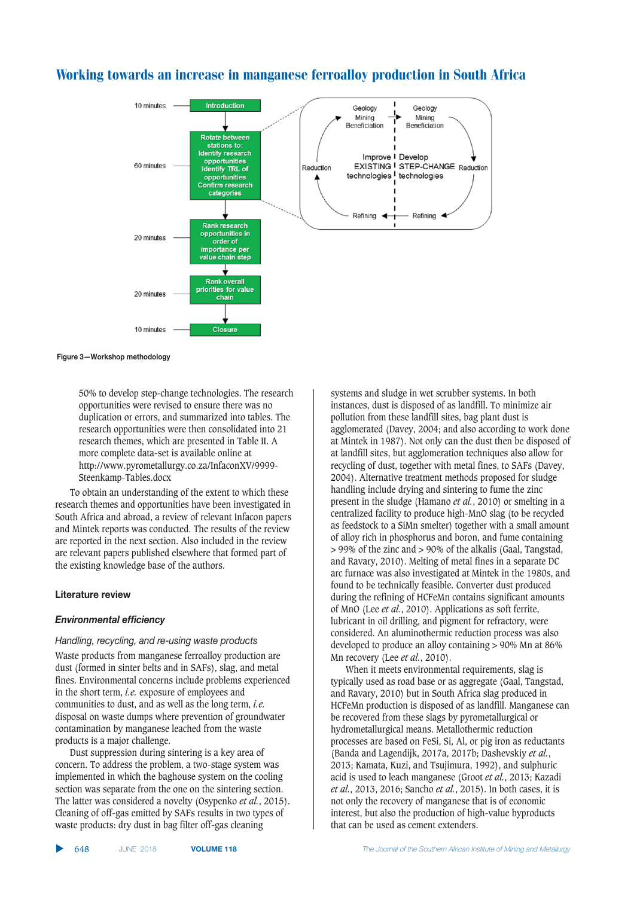

**Figure 3-Workshop methodology** 

50% to develop step-change technologies. The research opportunities were revised to ensure there was no duplication or errors, and summarized into tables. The research opportunities were then consolidated into 21 research themes, which are presented in Table II. A more complete data-set is available online at http://www.pyrometallurgy.co.za/InfaconXV/9999- Steenkamp-Tables.docx

To obtain an understanding of the extent to which these research themes and opportunities have been investigated in South Africa and abroad, a review of relevant Infacon papers and Mintek reports was conducted. The results of the review are reported in the next section. Also included in the review are relevant papers published elsewhere that formed part of the existing knowledge base of the authors.

#### **Literature review**

#### *Environmental efficiency*

#### Handling, recycling, and re-using waste products

Waste products from manganese ferroalloy production are dust (formed in sinter belts and in SAFs), slag, and metal fines. Environmental concerns include problems experienced in the short term, *i.e.* exposure of employees and communities to dust, and as well as the long term, *i.e.* disposal on waste dumps where prevention of groundwater contamination by manganese leached from the waste products is a major challenge.

Dust suppression during sintering is a key area of concern. To address the problem, a two-stage system was implemented in which the baghouse system on the cooling section was separate from the one on the sintering section. The latter was considered a novelty (Osypenko *et al.*, 2015). Cleaning of off-gas emitted by SAFs results in two types of waste products: dry dust in bag filter off-gas cleaning

▲ 648 JUNE 2018 systems and sludge in wet scrubber systems. In both instances, dust is disposed of as landfill. To minimize air pollution from these landfill sites, bag plant dust is agglomerated (Davey, 2004; and also according to work done at Mintek in 1987). Not only can the dust then be disposed of at landfill sites, but agglomeration techniques also allow for recycling of dust, together with metal fines, to SAFs (Davey, 2004). Alternative treatment methods proposed for sludge handling include drying and sintering to fume the zinc present in the sludge (Hamano *et al.*, 2010) or smelting in a centralized facility to produce high-MnO slag (to be recycled as feedstock to a SiMn smelter) together with a small amount of alloy rich in phosphorus and boron, and fume containing > 99% of the zinc and > 90% of the alkalis (Gaal, Tangstad, and Ravary, 2010). Melting of metal fines in a separate DC arc furnace was also investigated at Mintek in the 1980s, and found to be technically feasible. Converter dust produced during the refining of HCFeMn contains significant amounts of MnO (Lee *et al.*, 2010). Applications as soft ferrite, lubricant in oil drilling, and pigment for refractory, were considered. An aluminothermic reduction process was also developed to produce an alloy containing > 90% Mn at 86% Mn recovery (Lee *et al.*, 2010).

When it meets environmental requirements, slag is typically used as road base or as aggregate (Gaal, Tangstad, and Ravary, 2010) but in South Africa slag produced in HCFeMn production is disposed of as landfill. Manganese can be recovered from these slags by pyrometallurgical or hydrometallurgical means. Metallothermic reduction processes are based on FeSi, Si, Al, or pig iron as reductants (Banda and Lagendijk, 2017a, 2017b; Dashevskiy *et al.*, 2013; Kamata, Kuzi, and Tsujimura, 1992), and sulphuric acid is used to leach manganese (Groot *et al.*, 2013; Kazadi *et al.*, 2013, 2016; Sancho *et al.*, 2015). In both cases, it is not only the recovery of manganese that is of economic interest, but also the production of high-value byproducts that can be used as cement extenders.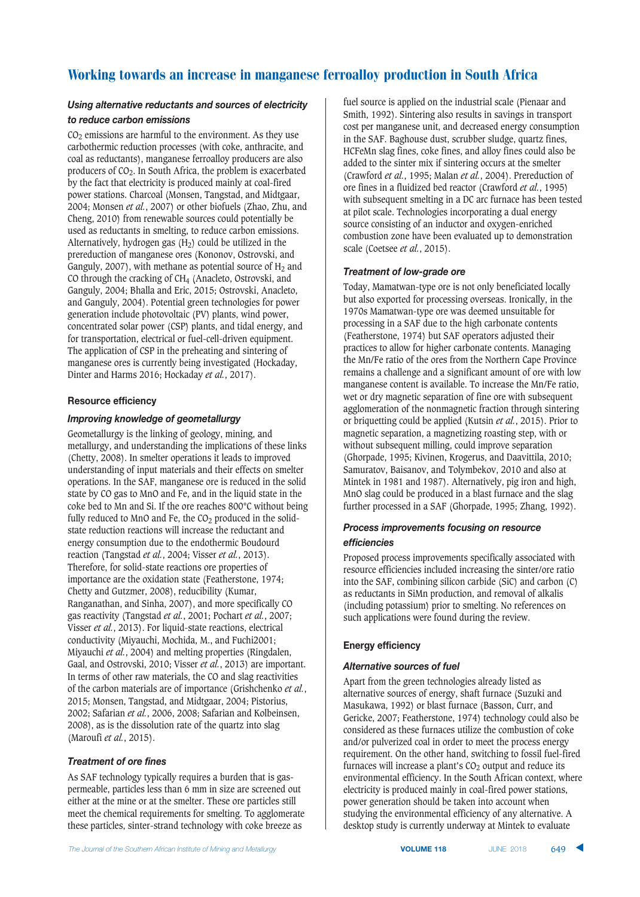#### Using alternative reductants and sources of electricity

#### $$

 $CO<sub>2</sub>$  emissions are harmful to the environment. As they use carbothermic reduction processes (with coke, anthracite, and coal as reductants), manganese ferroalloy producers are also producers of  $CO<sub>2</sub>$ . In South Africa, the problem is exacerbated by the fact that electricity is produced mainly at coal-fired power stations. Charcoal (Monsen, Tangstad, and Midtgaar, 2004; Monsen *et al.*, 2007) or other biofuels (Zhao, Zhu, and Cheng, 2010) from renewable sources could potentially be used as reductants in smelting, to reduce carbon emissions. Alternatively, hydrogen gas  $(H<sub>2</sub>)$  could be utilized in the prereduction of manganese ores (Kononov, Ostrovski, and Ganguly, 2007), with methane as potential source of  $H_2$  and CO through the cracking of CH4 (Anacleto, Ostrovski, and Ganguly, 2004; Bhalla and Eric, 2015; Ostrovski, Anacleto, and Ganguly, 2004). Potential green technologies for power generation include photovoltaic (PV) plants, wind power, concentrated solar power (CSP) plants, and tidal energy, and for transportation, electrical or fuel-cell-driven equipment. The application of CSP in the preheating and sintering of manganese ores is currently being investigated (Hockaday, Dinter and Harms 2016; Hockaday *et al.*, 2017).

#### $R$ **esource efficiency**

#### *Improving knowledge of geometallurgy*

Geometallurgy is the linking of geology, mining, and metallurgy, and understanding the implications of these links (Chetty, 2008). In smelter operations it leads to improved understanding of input materials and their effects on smelter operations. In the SAF, manganese ore is reduced in the solid state by CO gas to MnO and Fe, and in the liquid state in the coke bed to Mn and Si. If the ore reaches 800°C without being fully reduced to MnO and Fe, the  $CO<sub>2</sub>$  produced in the solidstate reduction reactions will increase the reductant and energy consumption due to the endothermic Boudourd reaction (Tangstad *et al.*, 2004; Visser *et al.*, 2013). Therefore, for solid-state reactions ore properties of importance are the oxidation state (Featherstone, 1974; Chetty and Gutzmer, 2008), reducibility (Kumar, Ranganathan, and Sinha, 2007), and more specifically CO gas reactivity (Tangstad *et al.*, 2001; Pochart *et al.*, 2007; Visser *et al.*, 2013). For liquid-state reactions, electrical conductivity (Miyauchi, Mochida, M., and Fuchi2001; Miyauchi *et al.*, 2004) and melting properties (Ringdalen, Gaal, and Ostrovski, 2010; Visser *et al.*, 2013) are important. In terms of other raw materials, the CO and slag reactivities of the carbon materials are of importance (Grishchenko *et al.*, 2015; Monsen, Tangstad, and Midtgaar, 2004; Pistorius, 2002; Safarian *et al.*, 2006, 2008; Safarian and Kolbeinsen, 2008), as is the dissolution rate of the quartz into slag (Maroufi *et al.*, 2015).

### **Treatment of ore fines**

As SAF technology typically requires a burden that is gaspermeable, particles less than 6 mm in size are screened out either at the mine or at the smelter. These ore particles still meet the chemical requirements for smelting. To agglomerate these particles, sinter-strand technology with coke breeze as

fuel source is applied on the industrial scale (Pienaar and Smith, 1992). Sintering also results in savings in transport cost per manganese unit, and decreased energy consumption in the SAF. Baghouse dust, scrubber sludge, quartz fines, HCFeMn slag fines, coke fines, and alloy fines could also be added to the sinter mix if sintering occurs at the smelter (Crawford *et al.*, 1995; Malan *et al.*, 2004). Prereduction of ore fines in a fluidized bed reactor (Crawford *et al.*, 1995) with subsequent smelting in a DC arc furnace has been tested at pilot scale. Technologies incorporating a dual energy source consisting of an inductor and oxygen-enriched combustion zone have been evaluated up to demonstration scale (Coetsee *et al.*, 2015).

#### **Treatment of low-grade ore**

Today, Mamatwan-type ore is not only beneficiated locally but also exported for processing overseas. Ironically, in the 1970s Mamatwan-type ore was deemed unsuitable for processing in a SAF due to the high carbonate contents (Featherstone, 1974) but SAF operators adjusted their practices to allow for higher carbonate contents. Managing the Mn/Fe ratio of the ores from the Northern Cape Province remains a challenge and a significant amount of ore with low manganese content is available. To increase the Mn/Fe ratio, wet or dry magnetic separation of fine ore with subsequent agglomeration of the nonmagnetic fraction through sintering or briquetting could be applied (Kutsin *et al.*, 2015). Prior to magnetic separation, a magnetizing roasting step, with or without subsequent milling, could improve separation (Ghorpade, 1995; Kivinen, Krogerus, and Daavittila, 2010; Samuratov, Baisanov, and Tolymbekov, 2010 and also at Mintek in 1981 and 1987). Alternatively, pig iron and high, MnO slag could be produced in a blast furnace and the slag further processed in a SAF (Ghorpade, 1995; Zhang, 1992).

### **Process improvements focusing on resource**  $efficiencies$

Proposed process improvements specifically associated with resource efficiencies included increasing the sinter/ore ratio into the SAF, combining silicon carbide (SiC) and carbon (C) as reductants in SiMn production, and removal of alkalis (including potassium) prior to smelting. No references on such applications were found during the review.

### **Energy efficiency**

#### **Alternative sources of fuel**

Apart from the green technologies already listed as alternative sources of energy, shaft furnace (Suzuki and Masukawa, 1992) or blast furnace (Basson, Curr, and Gericke, 2007; Featherstone, 1974) technology could also be considered as these furnaces utilize the combustion of coke and/or pulverized coal in order to meet the process energy requirement. On the other hand, switching to fossil fuel-fired furnaces will increase a plant's  $CO<sub>2</sub>$  output and reduce its environmental efficiency. In the South African context, where electricity is produced mainly in coal-fired power stations, power generation should be taken into account when studying the environmental efficiency of any alternative. A desktop study is currently underway at Mintek to evaluate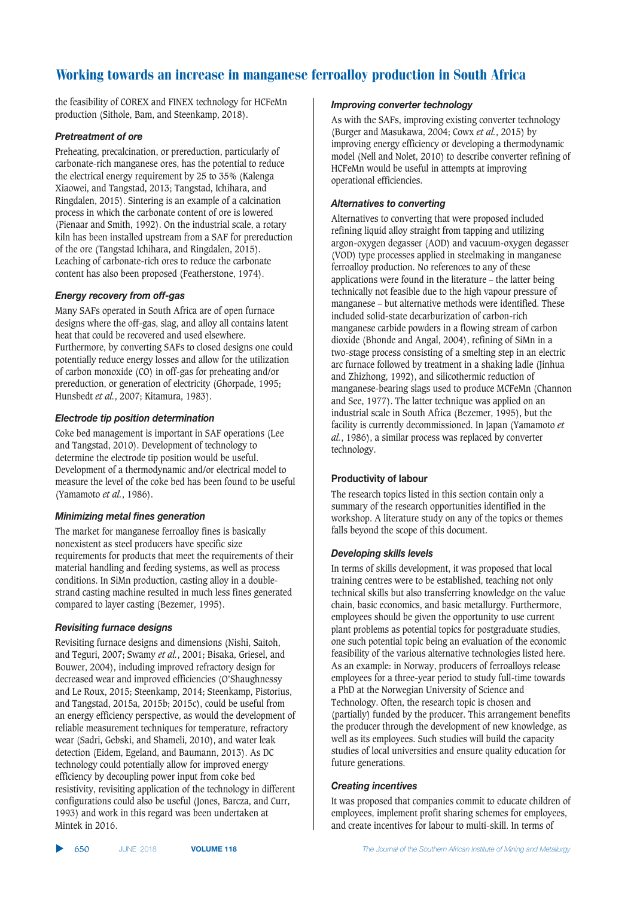the feasibility of COREX and FINEX technology for HCFeMn production (Sithole, Bam, and Steenkamp, 2018).

#### **Pretreatment of ore**

Preheating, precalcination, or prereduction, particularly of carbonate-rich manganese ores, has the potential to reduce the electrical energy requirement by 25 to 35% (Kalenga Xiaowei, and Tangstad, 2013; Tangstad, Ichihara, and Ringdalen, 2015). Sintering is an example of a calcination process in which the carbonate content of ore is lowered (Pienaar and Smith, 1992). On the industrial scale, a rotary kiln has been installed upstream from a SAF for prereduction of the ore (Tangstad Ichihara, and Ringdalen, 2015). Leaching of carbonate-rich ores to reduce the carbonate content has also been proposed (Featherstone, 1974).

#### **Energy recovery from off-gas**

Many SAFs operated in South Africa are of open furnace designs where the off-gas, slag, and alloy all contains latent heat that could be recovered and used elsewhere. Furthermore, by converting SAFs to closed designs one could potentially reduce energy losses and allow for the utilization of carbon monoxide (CO) in off-gas for preheating and/or prereduction, or generation of electricity (Ghorpade, 1995; Hunsbedt *et al.*, 2007; Kitamura, 1983).

#### **Electrode tip position determination**

Coke bed management is important in SAF operations (Lee and Tangstad, 2010). Development of technology to determine the electrode tip position would be useful. Development of a thermodynamic and/or electrical model to measure the level of the coke bed has been found to be useful (Yamamoto *et al.*, 1986).

#### *Minimizing metal fines generation*

The market for manganese ferroalloy fines is basically nonexistent as steel producers have specific size requirements for products that meet the requirements of their material handling and feeding systems, as well as process conditions. In SiMn production, casting alloy in a doublestrand casting machine resulted in much less fines generated compared to layer casting (Bezemer, 1995).

#### **Revisiting furnace designs**

Revisiting furnace designs and dimensions (Nishi, Saitoh, and Teguri, 2007; Swamy *et al.*, 2001; Bisaka, Griesel, and Bouwer, 2004), including improved refractory design for decreased wear and improved efficiencies (O'Shaughnessy and Le Roux, 2015; Steenkamp, 2014; Steenkamp, Pistorius, and Tangstad, 2015a, 2015b; 2015c), could be useful from an energy efficiency perspective, as would the development of reliable measurement techniques for temperature, refractory wear (Sadri, Gebski, and Shameli, 2010), and water leak detection (Eidem, Egeland, and Baumann, 2013). As DC technology could potentially allow for improved energy efficiency by decoupling power input from coke bed resistivity, revisiting application of the technology in different configurations could also be useful (Jones, Barcza, and Curr, 1993) and work in this regard was been undertaken at Mintek in 2016.

#### *Improving converter technology*

As with the SAFs, improving existing converter technology (Burger and Masukawa, 2004; Cowx *et al.*, 2015) by improving energy efficiency or developing a thermodynamic model (Nell and Nolet, 2010) to describe converter refining of HCFeMn would be useful in attempts at improving operational efficiencies.

#### **Alternatives to converting**

Alternatives to converting that were proposed included refining liquid alloy straight from tapping and utilizing argon-oxygen degasser (AOD) and vacuum-oxygen degasser (VOD) type processes applied in steelmaking in manganese ferroalloy production. No references to any of these applications were found in the literature – the latter being technically not feasible due to the high vapour pressure of manganese – but alternative methods were identified. These included solid-state decarburization of carbon-rich manganese carbide powders in a flowing stream of carbon dioxide (Bhonde and Angal, 2004), refining of SiMn in a two-stage process consisting of a smelting step in an electric arc furnace followed by treatment in a shaking ladle (Jinhua and Zhizhong, 1992), and silicothermic reduction of manganese-bearing slags used to produce MCFeMn (Channon and See, 1977). The latter technique was applied on an industrial scale in South Africa (Bezemer, 1995), but the facility is currently decommissioned. In Japan (Yamamoto *et al.*, 1986), a similar process was replaced by converter technology.

#### **Productivity of labour**

The research topics listed in this section contain only a summary of the research opportunities identified in the workshop. A literature study on any of the topics or themes falls beyond the scope of this document.

#### **Developing skills levels**

In terms of skills development, it was proposed that local training centres were to be established, teaching not only technical skills but also transferring knowledge on the value chain, basic economics, and basic metallurgy. Furthermore, employees should be given the opportunity to use current plant problems as potential topics for postgraduate studies, one such potential topic being an evaluation of the economic feasibility of the various alternative technologies listed here. As an example: in Norway, producers of ferroalloys release employees for a three-year period to study full-time towards a PhD at the Norwegian University of Science and Technology. Often, the research topic is chosen and (partially) funded by the producer. This arrangement benefits the producer through the development of new knowledge, as well as its employees. Such studies will build the capacity studies of local universities and ensure quality education for future generations.

### **Creating incentives**

It was proposed that companies commit to educate children of employees, implement profit sharing schemes for employees, and create incentives for labour to multi-skill. In terms of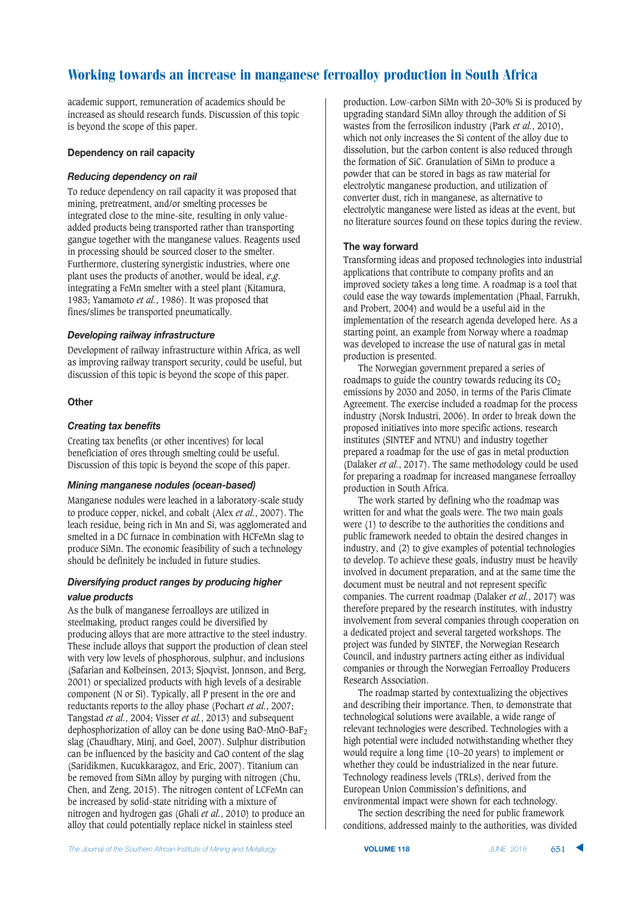academic support, remuneration of academics should be increased as should research funds. Discussion of this topic is beyond the scope of this paper.

#### **Dependency on rail capacity**

#### **Reducing dependency on rail**

To reduce dependency on rail capacity it was proposed that mining, pretreatment, and/or smelting processes be integrated close to the mine-site, resulting in only valueadded products being transported rather than transporting gangue together with the manganese values. Reagents used in processing should be sourced closer to the smelter. Furthermore, clustering synergistic industries, where one plant uses the products of another, would be ideal, *e.g*. integrating a FeMn smelter with a steel plant (Kitamura, 1983; Yamamoto *et al.*, 1986). It was proposed that fines/slimes be transported pneumatically.

#### **Developing railway infrastructure**

Development of railway infrastructure within Africa, as well as improving railway transport security, could be useful, but discussion of this topic is beyond the scope of this paper.

#### **Other**

#### **Creating tax benefits**

Creating tax benefits (or other incentives) for local beneficiation of ores through smelting could be useful. Discussion of this topic is beyond the scope of this paper.

#### *Mining manganese nodules (ocean-based)*

Manganese nodules were leached in a laboratory-scale study to produce copper, nickel, and cobalt (Alex *et al.*, 2007). The leach residue, being rich in Mn and Si, was agglomerated and smelted in a DC furnace in combination with HCFeMn slag to produce SiMn. The economic feasibility of such a technology should be definitely be included in future studies.

#### **Diversifying product ranges by producing higher**  $value$  *products*

As the bulk of manganese ferroalloys are utilized in steelmaking, product ranges could be diversified by producing alloys that are more attractive to the steel industry. These include alloys that support the production of clean steel with very low levels of phosphorous, sulphur, and inclusions (Safarian and Kolbeinsen, 2013; Sjoqvist, Jonnson, and Berg, 2001) or specialized products with high levels of a desirable component (N or Si). Typically, all P present in the ore and reductants reports to the alloy phase (Pochart *et al.*, 2007; Tangstad *et al.*, 2004; Visser *et al.*, 2013) and subsequent dephosphorization of alloy can be done using BaO-MnO-BaF2 slag (Chaudhary, Minj, and Goel, 2007). Sulphur distribution can be influenced by the basicity and CaO content of the slag (Saridikmen, Kucukkaragoz, and Eric, 2007). Titanium can be removed from SiMn alloy by purging with nitrogen (Chu, Chen, and Zeng, 2015). The nitrogen content of LCFeMn can be increased by solid-state nitriding with a mixture of nitrogen and hydrogen gas (Ghali *et al.*, 2010) to produce an alloy that could potentially replace nickel in stainless steel

production. Low-carbon SiMn with 20–30% Si is produced by upgrading standard SiMn alloy through the addition of Si wastes from the ferrosilicon industry (Park *et al.*, 2010), which not only increases the Si content of the alloy due to dissolution, but the carbon content is also reduced through the formation of SiC. Granulation of SiMn to produce a powder that can be stored in bags as raw material for electrolytic manganese production, and utilization of converter dust, rich in manganese, as alternative to electrolytic manganese were listed as ideas at the event, but no literature sources found on these topics during the review.

#### **1** The way forward

Transforming ideas and proposed technologies into industrial applications that contribute to company profits and an improved society takes a long time. A roadmap is a tool that could ease the way towards implementation (Phaal, Farrukh, and Probert, 2004) and would be a useful aid in the implementation of the research agenda developed here. As a starting point, an example from Norway where a roadmap was developed to increase the use of natural gas in metal production is presented.

The Norwegian government prepared a series of roadmaps to guide the country towards reducing its  $CO<sub>2</sub>$ emissions by 2030 and 2050, in terms of the Paris Climate Agreement. The exercise included a roadmap for the process industry (Norsk Industri, 2006). In order to break down the proposed initiatives into more specific actions, research institutes (SINTEF and NTNU) and industry together prepared a roadmap for the use of gas in metal production (Dalaker *et al.*, 2017). The same methodology could be used for preparing a roadmap for increased manganese ferroalloy production in South Africa.

The work started by defining who the roadmap was written for and what the goals were. The two main goals were (1) to describe to the authorities the conditions and public framework needed to obtain the desired changes in industry, and (2) to give examples of potential technologies to develop. To achieve these goals, industry must be heavily involved in document preparation, and at the same time the document must be neutral and not represent specific companies. The current roadmap (Dalaker *et al.*, 2017) was therefore prepared by the research institutes, with industry involvement from several companies through cooperation on a dedicated project and several targeted workshops. The project was funded by SINTEF, the Norwegian Research Council, and industry partners acting either as individual companies or through the Norwegian Ferroalloy Producers Research Association.

The roadmap started by contextualizing the objectives and describing their importance. Then, to demonstrate that technological solutions were available, a wide range of relevant technologies were described. Technologies with a high potential were included notwithstanding whether they would require a long time (10–20 years) to implement or whether they could be industrialized in the near future. Technology readiness levels (TRLs), derived from the European Union Commission's definitions, and environmental impact were shown for each technology.

The section describing the need for public framework conditions, addressed mainly to the authorities, was divided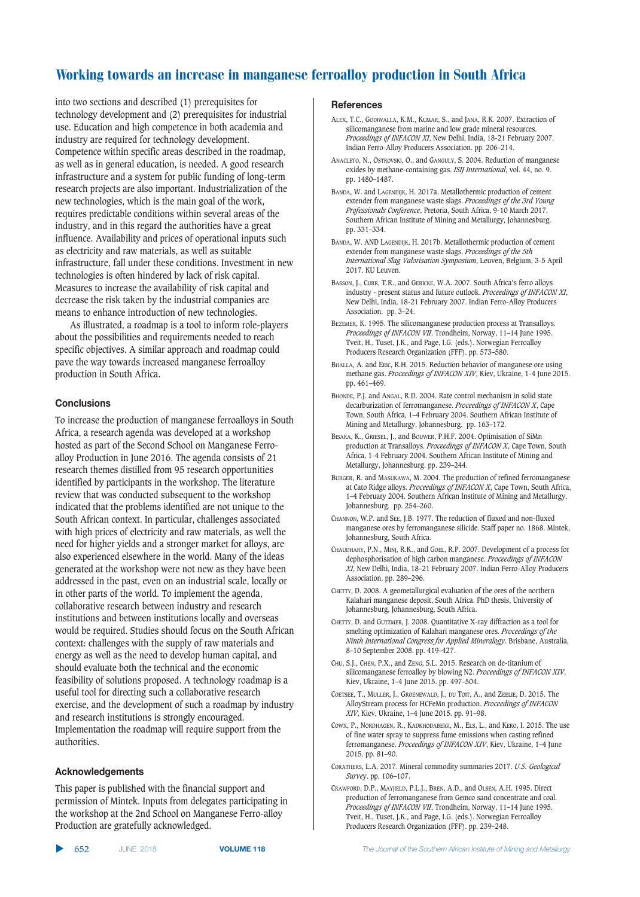into two sections and described (1) prerequisites for technology development and (2) prerequisites for industrial use. Education and high competence in both academia and industry are required for technology development. Competence within specific areas described in the roadmap, as well as in general education, is needed. A good research infrastructure and a system for public funding of long-term research projects are also important. Industrialization of the new technologies, which is the main goal of the work, requires predictable conditions within several areas of the industry, and in this regard the authorities have a great influence. Availability and prices of operational inputs such as electricity and raw materials, as well as suitable infrastructure, fall under these conditions. Investment in new technologies is often hindered by lack of risk capital. Measures to increase the availability of risk capital and decrease the risk taken by the industrial companies are means to enhance introduction of new technologies.

As illustrated, a roadmap is a tool to inform role-players about the possibilities and requirements needed to reach specific objectives. A similar approach and roadmap could pave the way towards increased manganese ferroalloy production in South Africa.

#### $$

To increase the production of manganese ferroalloys in South Africa, a research agenda was developed at a workshop hosted as part of the Second School on Manganese Ferroalloy Production in June 2016. The agenda consists of 21 research themes distilled from 95 research opportunities identified by participants in the workshop. The literature review that was conducted subsequent to the workshop indicated that the problems identified are not unique to the South African context. In particular, challenges associated with high prices of electricity and raw materials, as well the need for higher yields and a stronger market for alloys, are also experienced elsewhere in the world. Many of the ideas generated at the workshop were not new as they have been addressed in the past, even on an industrial scale, locally or in other parts of the world. To implement the agenda, collaborative research between industry and research institutions and between institutions locally and overseas would be required. Studies should focus on the South African context: challenges with the supply of raw materials and energy as well as the need to develop human capital, and should evaluate both the technical and the economic feasibility of solutions proposed. A technology roadmap is a useful tool for directing such a collaborative research exercise, and the development of such a roadmap by industry and research institutions is strongly encouraged. Implementation the roadmap will require support from the authorities.

#### $\blacksquare$  Acknowledgements

This paper is published with the financial support and permission of Mintek. Inputs from delegates participating in the workshop at the 2nd School on Manganese Ferro-alloy Production are gratefully acknowledged.

#### ▲ 652 JUNE 2018

#### $References$

- ALEX, T.C., GODIWALLA, K.M., KUMAR, S., and JANA, R.K. 2007. Extraction of silicomanganese from marine and low grade mineral resources. *Proceedings of INFACON XI*, New Delhi, India, 18-21 February 2007. Indian Ferro-Alloy Producers Association. pp. 206–214.
- ANACLETO, N., OSTROVSKI, O., and GANGULY, S. 2004. Reduction of manganese oxides by methane-containing gas. *ISIJ International*, vol. 44, no. 9. pp. 1480–1487.
- BANDA, W. and LAGENDIJK, H. 2017a. Metallothermic production of cement extender from manganese waste slags. *Proceedings of the 3rd Young Professionals Conference*, Pretoria, South Africa, 9-10 March 2017. Southern African Institute of Mining and Metallurgy, Johannesburg. pp. 331–334.
- BANDA, W. AND LAGENDIJK, H. 2017b. Metallothermic production of cement extender from manganese waste slags. *Proceedings of the 5th International Slag Valorisation Symposium*, Leuven, Belgium, 3-5 April 2017. KU Leuven.
- BASSON, J., CURR, T.R., and GERICKE, W.A. 2007. South Africa's ferro alloys industry - present status and future outlook. *Proceedings of INFACON XI*, New Delhi, India, 18-21 February 2007. Indian Ferro-Alloy Producers Association. pp. 3–24.
- BEZEMER, K. 1995. The silicomanganese production process at Transalloys. *Proceedings of INFACON VII*. Trondheim, Norway, 11–14 June 1995. Tveit, H., Tuset, J.K., and Page, I.G. (eds.). Norwegian Ferroalloy Producers Research Organization (FFF). pp. 573–580.
- BHALLA, A. and ERIC, R.H. 2015. Reduction behavior of manganese ore using methane gas. *Proceedings of INFACON XIV*, Kiev, Ukraine, 1-4 June 2015. pp. 461–469.
- BHONDE, P.J. and ANGAL, R.D. 2004. Rate control mechanism in solid state decarburization of ferromanganese. *Proceedings of INFACON X*, Cape Town, South Africa, 1–4 February 2004. Southern African Institute of Mining and Metallurgy, Johannesburg. pp. 163–172.
- BISAKA, K., GRIESEL, J., and BOUWER, P.H.F. 2004. Optimisation of SiMn production at Transalloys. *Proceedings of INFACON X*, Cape Town, South Africa, 1-4 February 2004. Southern African Institute of Mining and Metallurgy, Johannesburg. pp. 239–244.
- BURGER, R. and MASUKAWA, M. 2004. The production of refined ferromanganese at Cato Ridge alloys. *Proceedings of INFACON X*, Cape Town, South Africa, 1–4 February 2004. Southern African Institute of Mining and Metallurgy, Johannesburg. pp. 254–260.
- CHANNON, W.P. and SEE, J.B. 1977. The reduction of fluxed and non-fluxed manganese ores by ferromanganese silicide. Staff paper no. 1868. Mintek, Johannesburg, South Africa.
- CHAUDHARY, P.N., MINJ, R.K., and GOEL, R.P. 2007. Development of a process for dephosphorisation of high carbon manganese. *Proceedings of INFACON XI*, New Delhi, India, 18–21 February 2007. Indian Ferro-Alloy Producers Association. pp. 289–296.
- CHETTY, D. 2008. A geometallurgical evaluation of the ores of the northern Kalahari manganese deposit, South Africa. PhD thesis, University of Johannesburg, Johannesburg, South Africa.
- CHETTY, D. and GUTZMER, J. 2008. Quantitative X-ray diffraction as a tool for smelting optimization of Kalahari manganese ores. *Proceedings of the Ninth International Congress for Applied Mineralogy*. Brisbane, Australia, 8–10 September 2008. pp. 419–427.
- CHU, S.J., CHEN, P.X., and ZENG, S.L. 2015. Research on de-titanium of silicomanganese ferroalloy by blowing N2. *Proceedings of INFACON XIV*, Kiev, Ukraine, 1–4 June 2015. pp. 497–504.
- COETSEE, T., MULLER, J., GROENEWALD, J., DU TOIT, A., and ZEELIE, D. 2015. The AlloyStream process for HCFeMn production. *Proceedings of INFACON XIV*, Kiev, Ukraine, 1–4 June 2015. pp. 91–98.
- COWX, P., NORDHAGEN, R., KADKHODABEIGI, M., ELS, L., and KERO, I. 2015. The use of fine water spray to suppress fume emissions when casting refined ferromanganese. *Proceedings of INFACON XIV*, Kiev, Ukraine, 1–4 June 2015. pp. 81–90.
- CORATHERS, L.A. 2017. Mineral commodity summaries 2017. *U.S. Geological Surve*y. pp. 106–107.
- CRAWFORD, D.P., MAYJIELD, P.L.J., BREN, A.D., and OLSEN, A.H. 1995. Direct production of ferromanganese from Gemco sand concentrate and coal. *Proceedings of INFACON VII*, Trondheim, Norway, 11–14 June 1995. Tveit, H., Tuset, J.K., and Page, I.G. (eds.). Norwegian Ferroalloy Producers Research Organization (FFF). pp. 239–248.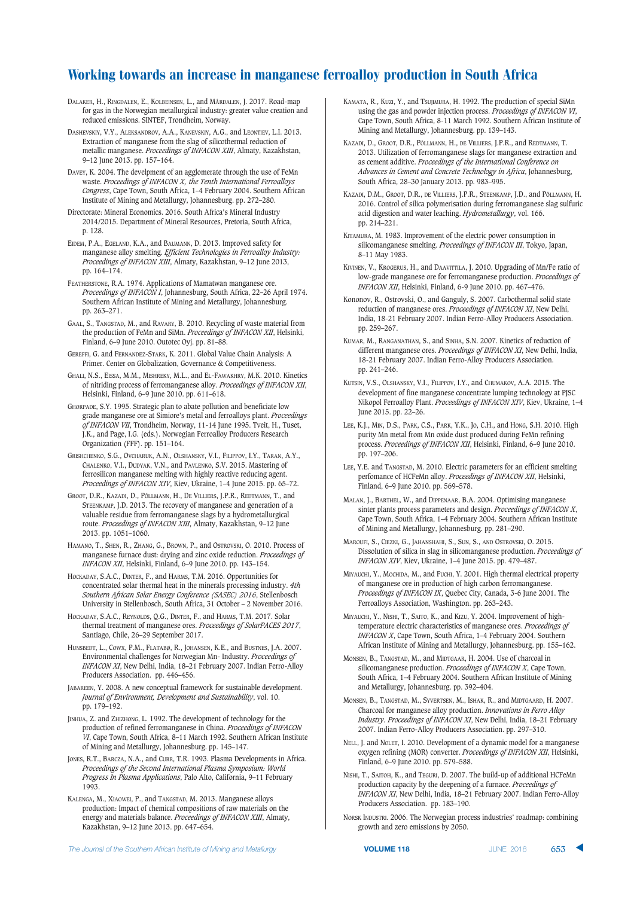DALAKER, H., RINGDALEN, E., KOLBEINSEN, L., and MÅRDALEN, J. 2017. Road-map for gas in the Norwegian metallurgical industry: greater value creation and reduced emissions. SINTEF, Trondheim, Norway.

DASHEVSKIY, V.Y., ALEKSANDROV, A.A., KANEVSKIY, A.G., and LEONTIEV, L.I. 2013. Extraction of manganese from the slag of silicothermal reduction of metallic manganese. *Proceedings of INFACON XIII*, Almaty, Kazakhstan, 9–12 June 2013. pp. 157–164.

DAVEY, K. 2004. The develpment of an agglomerate through the use of FeMn waste. *Proceedings of INFACON X, the Tenth International Ferroalloys Congress*, Cape Town, South Africa, 1–4 February 2004. Southern African Institute of Mining and Metallurgy, Johannesburg. pp. 272–280.

Directorate: Mineral Economics. 2016. South Africa's Mineral Industry 2014/2015. Department of Mineral Resources, Pretoria, South Africa, p. 128.

EIDEM, P.A., EGELAND, K.A., and BAUMANN, D. 2013. Improved safety for manganese alloy smelting. *Efficient Technologies in Ferroalloy Industry: Proceedings of INFACON XIII*, Almaty, Kazakhstan, 9–12 June 2013, pp. 164–174.

FEATHERSTONE, R.A. 1974. Applications of Mamatwan manganese ore. *Proceedings of INFACON I*, Johannesburg, South Africa, 22–26 April 1974. Southern African Institute of Mining and Metallurgy, Johannesburg. pp. 263–271.

GAAL, S., TANGSTAD, M., and RAVARY, B. 2010. Recycling of waste material from the production of FeMn and SiMn. *Proceedings of INFACON XII*, Helsinki, Finland, 6–9 June 2010. Outotec Oyj. pp. 81–88.

GEREFFI, G. and FERNANDEZ-STARK, K. 2011. Global Value Chain Analysis: A Primer. Center on Globalization, Governance & Competitiveness

GHALI, N.S., EISSA, M.M., MISHREKY, M.L., and EL-FAWAKHRY, M.K. 2010. Kinetics of nitriding process of ferromanganese alloy. *Proceedings of INFACON XII*, Helsinki, Finland, 6–9 June 2010. pp. 611–618.

GHORPADE, S.Y. 1995. Strategic plan to abate pollution and beneficiate low grade manganese ore at Simiore's metal and ferroalloys plant. *Proceedings of INFACON VII*, Trondheim, Norway, 11-14 June 1995. Tveit, H., Tuset, J.K., and Page, I.G. (eds.). Norwegian Ferroalloy Producers Research Organization (FFF). pp. 151–164.

GRISHCHENKO, S.G., OVCHARUK, A.N., OLSHANSKY, V.I., FILIPPOV, I.Y., TARAN, A.Y., CHALENKO, V.I., DUDYAK, V.N., and PAVLENKO, S.V. 2015. Mastering of ferrosilicon manganese melting with highly reactive reducing agent. *Proceedings of INFACON XIV*, Kiev, Ukraine, 1–4 June 2015. pp. 65–72.

GROOT, D.R., KAZADI, D., PÖLLMANN, H., DE VILLIERS, J.P.R., REDTMANN, T., and STEENKAMP, J.D. 2013. The recovery of manganese and generation of a valuable residue from ferromanganese slags by a hydrometallurgical route. *Proceedings of INFACON XIII*, Almaty, Kazakhstan, 9–12 June 2013. pp. 1051–1060.

HAMANO, T., SHEN, R., ZHANG, G., BROWN, P., and OSTROVSKI, O. 2010. Process of manganese furnace dust: drying and zinc oxide reduction. *Proceedings of INFACON XII*, Helsinki, Finland, 6–9 June 2010. pp. 143–154.

HOCKADAY, S.A.C., DINTER, F., and HARMS, T.M. 2016. Opportunities for concentrated solar thermal heat in the minerals processing industry. *4th Southern African Solar Energy Conference (SASEC) 2016*, Stellenbosch University in Stellenbosch, South Africa, 31 October – 2 November 2016.

HOCKADAY, S.A.C., REYNOLDS, Q.G., DINTER, F., and HARMS, T.M. 2017. Solar thermal treatment of manganese ores. *Proceedings of SolarPACES 2017*, Santiago, Chile, 26–29 September 2017.

HUNSBEDT, L., COWX, P.M., FLATABØ, R., JOHANSEN, K.E., and BUSTNES, J.A. 2007. Environmental challenges for Norwegian Mn- Industry. *Proceedings of INFACON XI*, New Delhi, India, 18–21 February 2007. Indian Ferro-Alloy Producers Association. pp. 446–456.

JABAREEN, Y. 2008. A new conceptual framework for sustainable development. *Journal of Environment, Development and Sustainability*, vol. 10. pp. 179–192.

JINHUA, Z. and ZHIZHONG, L. 1992. The development of technology for the production of refined ferromanganese in China. *Proceedings of INFACON VI*, Cape Town, South Africa, 8–11 March 1992. Southern African Institute of Mining and Metallurgy, Johannesburg. pp. 145–147.

JONES, R.T., BARCZA, N.A., and CURR, T.R. 1993. Plasma Developments in Africa. *Proceedings of the Second International Plasma Symposium: World Progress In Plasma Applications*, Palo Alto, California, 9–11 February 1993.

KALENGA, M., XIAOWEI, P., and TANGSTAD, M. 2013. Manganese alloys production: Impact of chemical compositions of raw materials on the energy and materials balance. *Proceedings of INFACON XIII*, Almaty, Kazakhstan, 9–12 June 2013. pp. 647–654.

KAMATA, R., KUZI, Y., and Tsujimura, H. 1992. The production of special SiMn using the gas and powder injection process. *Proceedings of INFACON VI*, Cape Town, South Africa, 8-11 March 1992. Southern African Institute of Mining and Metallurgy, Johannesburg. pp. 139–143.

KAZADI, D., GROOT, D.R., PÖLLMANN, H., DE VILLIERS, J.P.R., and REDTMANN, T. 2013. Utilization of ferromanganese slags for manganese extraction and as cement additive. *Proceedings of the International Conference on Advances in Cement and Concrete Technology in Africa*, Johannesburg, South Africa, 28–30 January 2013. pp. 983–995.

KAZADI, D.M., GROOT, D.R., DE VILLIERS, J.P.R., STEENKAMP, J.D., and PÖLLMANN, H. 2016. Control of silica polymerisation during ferromanganese slag sulfuric acid digestion and water leaching. *Hydrometallurgy*, vol. 166. pp. 214–221.

KITAMURA, M. 1983. Improvement of the electric power consumption in silicomanganese smelting. *Proceedings of INFACON III*, Tokyo, Japan, 8–11 May 1983.

KIVINEN, V., KROGERUS, H., and DAAVITTILA, J. 2010. Upgrading of Mn/Fe ratio of low-grade manganese ore for ferromanganese production. *Proceedings of INFACON XII*, Helsinki, Finland, 6-9 June 2010. pp. 467–476.

Kononov, R., Ostrovski, O., and Ganguly, S. 2007. Carbothermal solid state reduction of manganese ores. *Proceedings of INFACON XI*, New Delhi, India, 18-21 February 2007. Indian Ferro-Alloy Producers Association. pp. 259–267.

KUMAR, M., RANGANATHAN, S., and SINHA, S.N. 2007. Kinetics of reduction of different manganese ores. *Proceedings of INFACON XI*, New Delhi, India, 18-21 February 2007. Indian Ferro-Alloy Producers Association. pp. 241–246.

KUTSIN, V.S., OLSHANSKY, V.I., FILIPPOV, I.Y., and CHUMAKOV, A.A. 2015. The development of fine manganese concentrate lumping technology at PJSC Nikopol Ferroalloy Plant. *Proceedings of INFACON XIV*, Kiev, Ukraine, 1–4 June 2015. pp. 22–26.

LEE, K.J., MIN, D.S., PARK, C.S., PARK, Y.K., JO, C.H., and HONG, S.H. 2010. High purity Mn metal from Mn oxide dust produced during FeMn refining process. *Proceedings of INFACON XII*, Helsinki, Finland, 6–9 June 2010. pp. 197–206.

LEE, Y.E. and TANGSTAD, M. 2010. Electric parameters for an efficient smelting perfomance of HCFeMn alloy. *Proceedings of INFACON XII*, Helsinki, Finland, 6–9 June 2010. pp. 569–578.

MALAN, J., BARTHEL, W., and DIPPENAAR, B.A. 2004. Optimising manganese sinter plants process parameters and design. *Proceedings of INFACON X*, Cape Town, South Africa, 1–4 February 2004. Southern African Institute of Mining and Metallurgy, Johannesburg. pp. 281–290.

MAROUFI, S., CIEZKI, G., JAHANSHAHI, S., SUN, S., AND OSTROVSKI, O. 2015. Dissolution of silica in slag in silicomanganese production. *Proceedings of INFACON XIV*, Kiev, Ukraine, 1–4 June 2015. pp. 479–487.

MIYAUCHI, Y., MOCHIDA, M., and FUCHI, Y. 2001. High thermal electrical property of manganese ore in production of high carbon ferromanganese. *Proceedings of INFACON IX*, Quebec City, Canada, 3-6 June 2001. The Ferroalloys Association, Washington. pp. 263–243.

MIYAUCHI, Y., NISHI, T., SAITO, K., and KIZU, Y. 2004. Improvement of hightemperature electric characteristics of manganese ores. *Proceedings of INFACON X*, Cape Town, South Africa, 1–4 February 2004. Southern African Institute of Mining and Metallurgy, Johannesburg. pp. 155–162.

MONSEN, B., TANGSTAD, M., and MIDTGAAR, H. 2004. Use of charcoal in silicomanganese production. *Proceedings of INFACON X*, Cape Town, South Africa, 1–4 February 2004. Southern African Institute of Mining and Metallurgy, Johannesburg. pp. 392–404.

MONSEN, B., TANGSTAD, M., SYVERTSEN, M., ISHAK, R., and MIDTGAARD, H. 2007. Charcoal for manganese alloy production. *Innovations in Ferro Alloy Industry. Proceedings of INFACON XI*, New Delhi, India, 18–21 February 2007. Indian Ferro-Alloy Producers Association. pp. 297–310.

NELL, J. and NOLET, I. 2010. Development of a dynamic model for a manganese oxygen refining (MOR) converter. *Proceedings of INFACON XII*, Helsinki, Finland, 6–9 June 2010. pp. 579–588.

NISHI, T., SAITOH, K., and TEGURI, D. 2007. The build-up of additional HCFeMn production capacity by the deepening of a furnace. *Proceedings of INFACON XI*, New Delhi, India, 18–21 February 2007. Indian Ferro-Alloy Producers Association. pp. 183–190.

NORSK INDUSTRI. 2006. The Norwegian process industries' roadmap: combining growth and zero emissions by 2050.

**VOLUME 118 IVINE** 2018